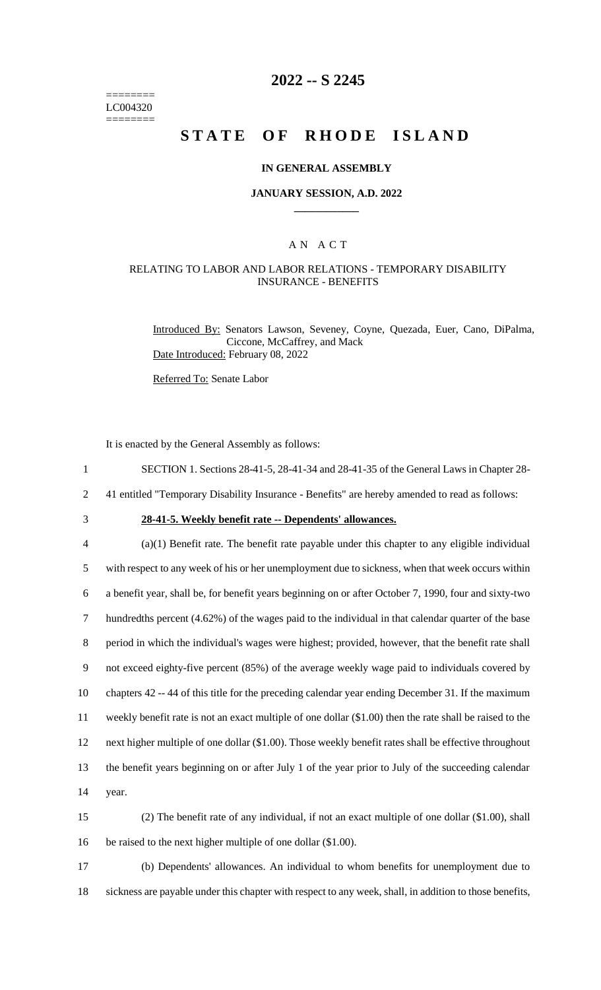======== LC004320 ========

# **2022 -- S 2245**

# **STATE OF RHODE ISLAND**

#### **IN GENERAL ASSEMBLY**

#### **JANUARY SESSION, A.D. 2022 \_\_\_\_\_\_\_\_\_\_\_\_**

### A N A C T

### RELATING TO LABOR AND LABOR RELATIONS - TEMPORARY DISABILITY INSURANCE - BENEFITS

Introduced By: Senators Lawson, Seveney, Coyne, Quezada, Euer, Cano, DiPalma, Ciccone, McCaffrey, and Mack Date Introduced: February 08, 2022

Referred To: Senate Labor

It is enacted by the General Assembly as follows:

1 SECTION 1. Sections 28-41-5, 28-41-34 and 28-41-35 of the General Laws in Chapter 28-

2 41 entitled "Temporary Disability Insurance - Benefits" are hereby amended to read as follows:

3 **28-41-5. Weekly benefit rate -- Dependents' allowances.**

 (a)(1) Benefit rate. The benefit rate payable under this chapter to any eligible individual with respect to any week of his or her unemployment due to sickness, when that week occurs within a benefit year, shall be, for benefit years beginning on or after October 7, 1990, four and sixty-two hundredths percent (4.62%) of the wages paid to the individual in that calendar quarter of the base period in which the individual's wages were highest; provided, however, that the benefit rate shall not exceed eighty-five percent (85%) of the average weekly wage paid to individuals covered by chapters 42 -- 44 of this title for the preceding calendar year ending December 31. If the maximum weekly benefit rate is not an exact multiple of one dollar (\$1.00) then the rate shall be raised to the next higher multiple of one dollar (\$1.00). Those weekly benefit rates shall be effective throughout the benefit years beginning on or after July 1 of the year prior to July of the succeeding calendar 14 year.

15 (2) The benefit rate of any individual, if not an exact multiple of one dollar (\$1.00), shall 16 be raised to the next higher multiple of one dollar (\$1.00).

17 (b) Dependents' allowances. An individual to whom benefits for unemployment due to 18 sickness are payable under this chapter with respect to any week, shall, in addition to those benefits,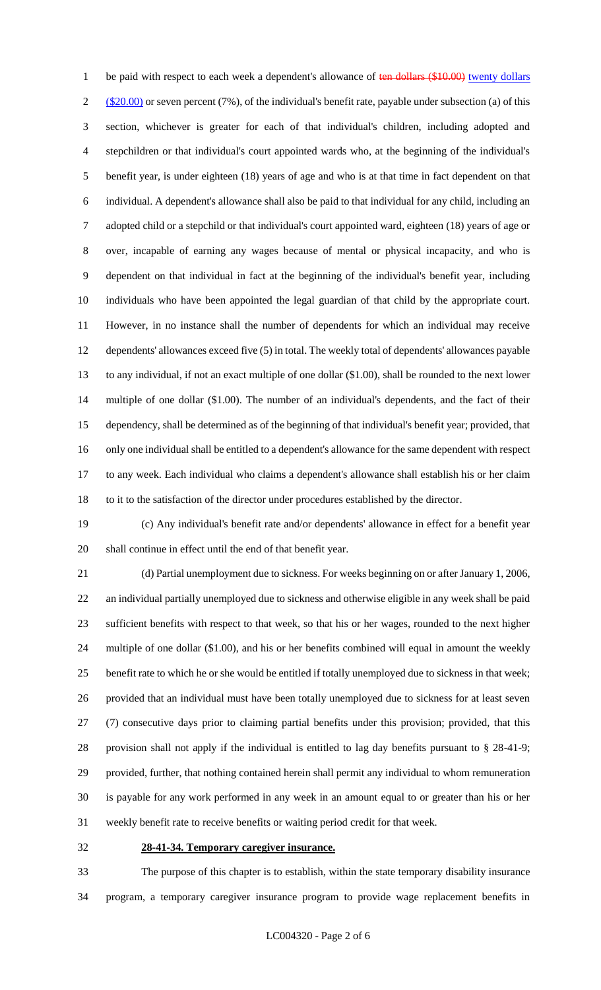1 be paid with respect to each week a dependent's allowance of ten dollars (\$10.00) twenty dollars  $2 \frac{\text{($20.00)}}{\text{or}}$  or seven percent (7%), of the individual's benefit rate, payable under subsection (a) of this section, whichever is greater for each of that individual's children, including adopted and stepchildren or that individual's court appointed wards who, at the beginning of the individual's benefit year, is under eighteen (18) years of age and who is at that time in fact dependent on that individual. A dependent's allowance shall also be paid to that individual for any child, including an adopted child or a stepchild or that individual's court appointed ward, eighteen (18) years of age or over, incapable of earning any wages because of mental or physical incapacity, and who is dependent on that individual in fact at the beginning of the individual's benefit year, including individuals who have been appointed the legal guardian of that child by the appropriate court. However, in no instance shall the number of dependents for which an individual may receive dependents' allowances exceed five (5) in total. The weekly total of dependents' allowances payable to any individual, if not an exact multiple of one dollar (\$1.00), shall be rounded to the next lower multiple of one dollar (\$1.00). The number of an individual's dependents, and the fact of their dependency, shall be determined as of the beginning of that individual's benefit year; provided, that only one individual shall be entitled to a dependent's allowance for the same dependent with respect to any week. Each individual who claims a dependent's allowance shall establish his or her claim to it to the satisfaction of the director under procedures established by the director.

 (c) Any individual's benefit rate and/or dependents' allowance in effect for a benefit year shall continue in effect until the end of that benefit year.

 (d) Partial unemployment due to sickness. For weeks beginning on or after January 1, 2006, an individual partially unemployed due to sickness and otherwise eligible in any week shall be paid sufficient benefits with respect to that week, so that his or her wages, rounded to the next higher multiple of one dollar (\$1.00), and his or her benefits combined will equal in amount the weekly benefit rate to which he or she would be entitled if totally unemployed due to sickness in that week; provided that an individual must have been totally unemployed due to sickness for at least seven (7) consecutive days prior to claiming partial benefits under this provision; provided, that this provision shall not apply if the individual is entitled to lag day benefits pursuant to § 28-41-9; provided, further, that nothing contained herein shall permit any individual to whom remuneration is payable for any work performed in any week in an amount equal to or greater than his or her weekly benefit rate to receive benefits or waiting period credit for that week.

#### **28-41-34. Temporary caregiver insurance.**

 The purpose of this chapter is to establish, within the state temporary disability insurance program, a temporary caregiver insurance program to provide wage replacement benefits in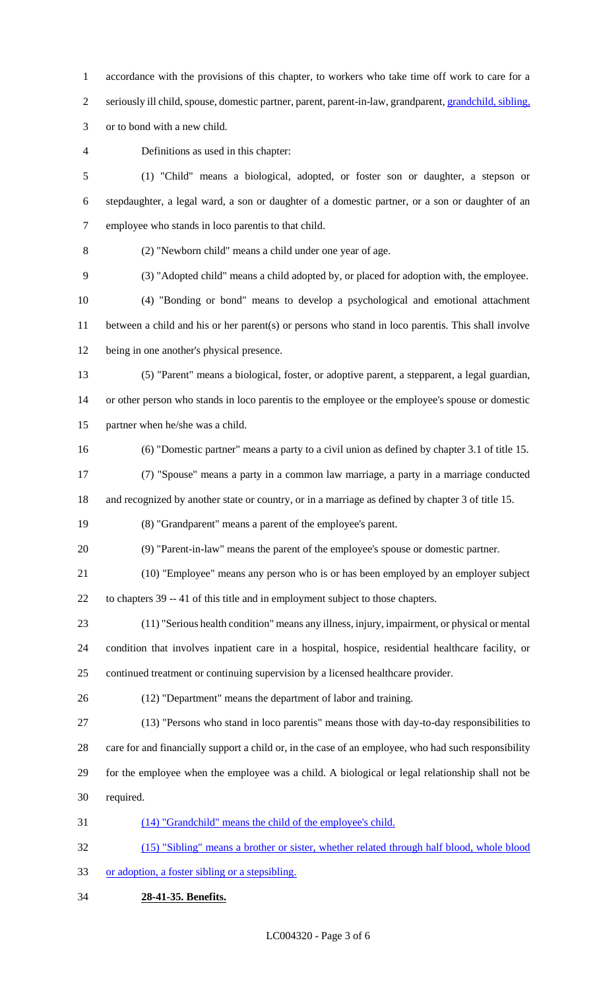accordance with the provisions of this chapter, to workers who take time off work to care for a 2 seriously ill child, spouse, domestic partner, parent, parent-in-law, grandparent, grandchild, sibling,

or to bond with a new child.

Definitions as used in this chapter:

 (1) "Child" means a biological, adopted, or foster son or daughter, a stepson or stepdaughter, a legal ward, a son or daughter of a domestic partner, or a son or daughter of an employee who stands in loco parentis to that child.

(2) "Newborn child" means a child under one year of age.

(3) "Adopted child" means a child adopted by, or placed for adoption with, the employee.

 (4) "Bonding or bond" means to develop a psychological and emotional attachment between a child and his or her parent(s) or persons who stand in loco parentis. This shall involve being in one another's physical presence.

- (5) "Parent" means a biological, foster, or adoptive parent, a stepparent, a legal guardian, or other person who stands in loco parentis to the employee or the employee's spouse or domestic
- partner when he/she was a child.
- (6) "Domestic partner" means a party to a civil union as defined by chapter 3.1 of title 15.

 (7) "Spouse" means a party in a common law marriage, a party in a marriage conducted and recognized by another state or country, or in a marriage as defined by chapter 3 of title 15.

(8) "Grandparent" means a parent of the employee's parent.

(9) "Parent-in-law" means the parent of the employee's spouse or domestic partner.

(10) "Employee" means any person who is or has been employed by an employer subject

to chapters 39 -- 41 of this title and in employment subject to those chapters.

 (11) "Serious health condition" means any illness, injury, impairment, or physical or mental condition that involves inpatient care in a hospital, hospice, residential healthcare facility, or continued treatment or continuing supervision by a licensed healthcare provider.

(12) "Department" means the department of labor and training.

(13) "Persons who stand in loco parentis" means those with day-to-day responsibilities to

care for and financially support a child or, in the case of an employee, who had such responsibility

 for the employee when the employee was a child. A biological or legal relationship shall not be required.

(14) "Grandchild" means the child of the employee's child.

 (15) "Sibling" means a brother or sister, whether related through half blood, whole blood or adoption, a foster sibling or a stepsibling.

**28-41-35. Benefits.**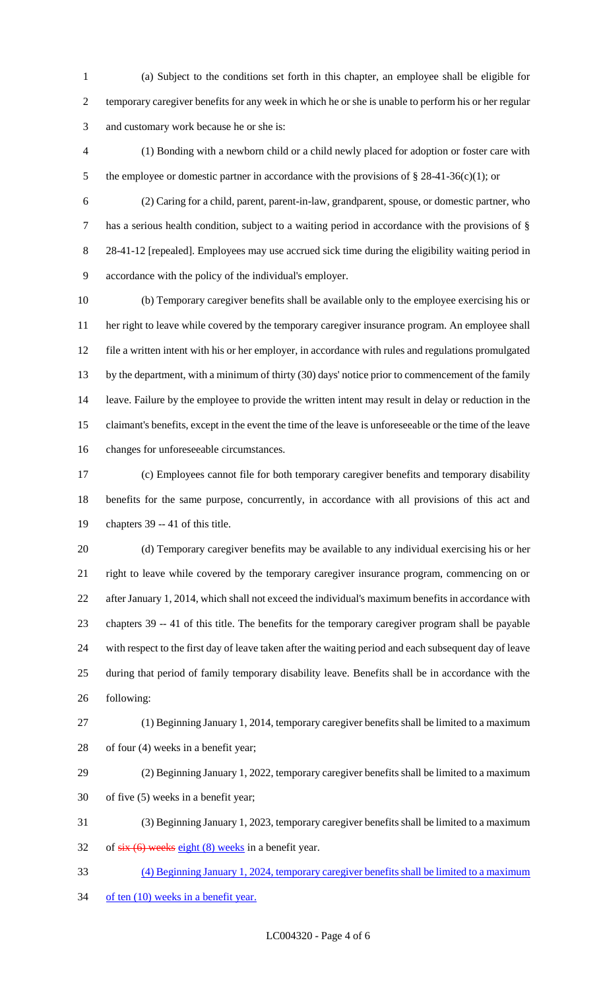(a) Subject to the conditions set forth in this chapter, an employee shall be eligible for temporary caregiver benefits for any week in which he or she is unable to perform his or her regular and customary work because he or she is:

 (1) Bonding with a newborn child or a child newly placed for adoption or foster care with 5 the employee or domestic partner in accordance with the provisions of § 28-41-36(c)(1); or

 (2) Caring for a child, parent, parent-in-law, grandparent, spouse, or domestic partner, who has a serious health condition, subject to a waiting period in accordance with the provisions of § 8 28-41-12 [repealed]. Employees may use accrued sick time during the eligibility waiting period in accordance with the policy of the individual's employer.

 (b) Temporary caregiver benefits shall be available only to the employee exercising his or her right to leave while covered by the temporary caregiver insurance program. An employee shall file a written intent with his or her employer, in accordance with rules and regulations promulgated by the department, with a minimum of thirty (30) days' notice prior to commencement of the family leave. Failure by the employee to provide the written intent may result in delay or reduction in the claimant's benefits, except in the event the time of the leave is unforeseeable or the time of the leave changes for unforeseeable circumstances.

 (c) Employees cannot file for both temporary caregiver benefits and temporary disability benefits for the same purpose, concurrently, in accordance with all provisions of this act and chapters 39 -- 41 of this title.

 (d) Temporary caregiver benefits may be available to any individual exercising his or her right to leave while covered by the temporary caregiver insurance program, commencing on or after January 1, 2014, which shall not exceed the individual's maximum benefits in accordance with chapters 39 -- 41 of this title. The benefits for the temporary caregiver program shall be payable with respect to the first day of leave taken after the waiting period and each subsequent day of leave during that period of family temporary disability leave. Benefits shall be in accordance with the following:

 (1) Beginning January 1, 2014, temporary caregiver benefits shall be limited to a maximum of four (4) weeks in a benefit year;

 (2) Beginning January 1, 2022, temporary caregiver benefits shall be limited to a maximum of five (5) weeks in a benefit year;

 (3) Beginning January 1, 2023, temporary caregiver benefits shall be limited to a maximum 32 of  $s$ ix (6) weeks eight (8) weeks in a benefit year.

(4) Beginning January 1, 2024, temporary caregiver benefits shall be limited to a maximum

34 of ten (10) weeks in a benefit year.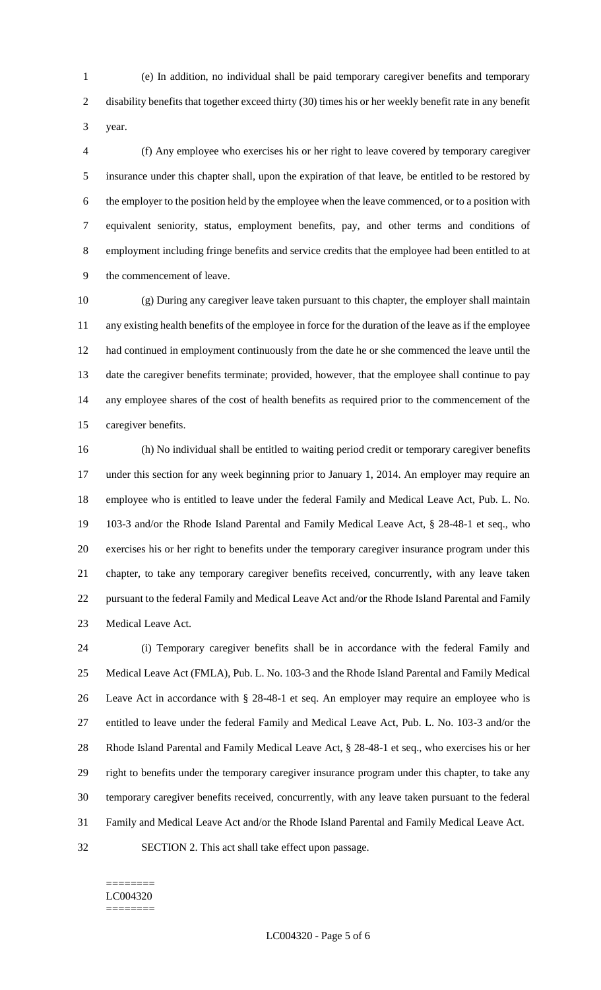(e) In addition, no individual shall be paid temporary caregiver benefits and temporary disability benefits that together exceed thirty (30) times his or her weekly benefit rate in any benefit year.

 (f) Any employee who exercises his or her right to leave covered by temporary caregiver insurance under this chapter shall, upon the expiration of that leave, be entitled to be restored by the employer to the position held by the employee when the leave commenced, or to a position with equivalent seniority, status, employment benefits, pay, and other terms and conditions of employment including fringe benefits and service credits that the employee had been entitled to at the commencement of leave.

 (g) During any caregiver leave taken pursuant to this chapter, the employer shall maintain any existing health benefits of the employee in force for the duration of the leave as if the employee had continued in employment continuously from the date he or she commenced the leave until the date the caregiver benefits terminate; provided, however, that the employee shall continue to pay any employee shares of the cost of health benefits as required prior to the commencement of the caregiver benefits.

 (h) No individual shall be entitled to waiting period credit or temporary caregiver benefits under this section for any week beginning prior to January 1, 2014. An employer may require an employee who is entitled to leave under the federal Family and Medical Leave Act, Pub. L. No. 103-3 and/or the Rhode Island Parental and Family Medical Leave Act, § 28-48-1 et seq., who exercises his or her right to benefits under the temporary caregiver insurance program under this chapter, to take any temporary caregiver benefits received, concurrently, with any leave taken pursuant to the federal Family and Medical Leave Act and/or the Rhode Island Parental and Family Medical Leave Act.

 (i) Temporary caregiver benefits shall be in accordance with the federal Family and Medical Leave Act (FMLA), Pub. L. No. 103-3 and the Rhode Island Parental and Family Medical Leave Act in accordance with § 28-48-1 et seq. An employer may require an employee who is entitled to leave under the federal Family and Medical Leave Act, Pub. L. No. 103-3 and/or the Rhode Island Parental and Family Medical Leave Act, § 28-48-1 et seq., who exercises his or her right to benefits under the temporary caregiver insurance program under this chapter, to take any temporary caregiver benefits received, concurrently, with any leave taken pursuant to the federal Family and Medical Leave Act and/or the Rhode Island Parental and Family Medical Leave Act. SECTION 2. This act shall take effect upon passage.

#### ======== LC004320